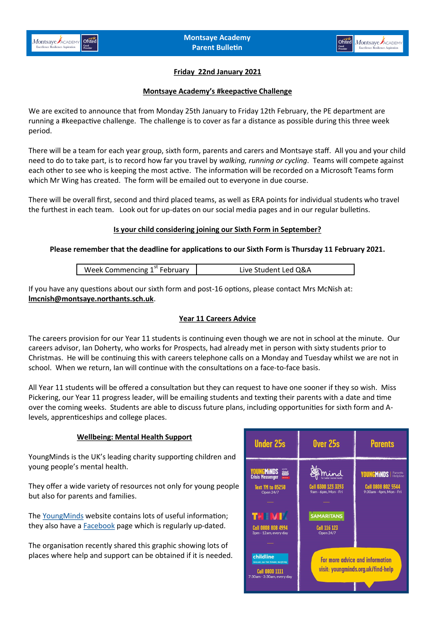

# **Friday 22nd January 2021**

#### **Montsaye Academy's #keepactive Challenge**

We are excited to announce that from Monday 25th January to Friday 12th February, the PE department are running a #keepactive challenge. The challenge is to cover as far a distance as possible during this three week period.

There will be a team for each year group, sixth form, parents and carers and Montsaye staff. All you and your child need to do to take part, is to record how far you travel by *walking, running or cycling*. Teams will compete against each other to see who is keeping the most active. The information will be recorded on a Microsoft Teams form which Mr Wing has created. The form will be emailed out to everyone in due course.

There will be overall first, second and third placed teams, as well as ERA points for individual students who travel the furthest in each team. Look out for up-dates on our social media pages and in our regular bulletins.

### **Is your child considering joining our Sixth Form in September?**

### **Please remember that the deadline for applications to our Sixth Form is Thursday 11 February 2021.**

| Week Commencing 1 <sup>st</sup> February | Live Student Led Q&A |
|------------------------------------------|----------------------|
|                                          |                      |

If you have any questions about our sixth form and post-16 options, please contact Mrs McNish at: **[lmcnish@montsaye.northants.sch.uk](mailto:lmcnish@montsaye.northants.sch.uk)**.

### **Year 11 Careers Advice**

The careers provision for our Year 11 students is continuing even though we are not in school at the minute. Our careers advisor, Ian Doherty, who works for Prospects, had already met in person with sixty students prior to Christmas. He will be continuing this with careers telephone calls on a Monday and Tuesday whilst we are not in school. When we return, Ian will continue with the consultations on a face-to-face basis.

All Year 11 students will be offered a consultation but they can request to have one sooner if they so wish. Miss Pickering, our Year 11 progress leader, will be emailing students and texting their parents with a date and time over the coming weeks. Students are able to discuss future plans, including opportunities for sixth form and Alevels, apprenticeships and college places.

### **Wellbeing: Mental Health Support**

YoungMinds is the UK's leading charity supporting children and young people's mental health.

They offer a wide variety of resources not only for young people but also for parents and families.

The [YoungMinds](https://youngminds.org.uk/?gclid=EAIaIQobChMIprq41Ymq7gIVAeztCh3F0AKUEAAYASAAEgKsVvD_BwE) website contains lots of useful information; they also have a **Facebook** page which is regularly up-dated.

The organisation recently shared this graphic showing lots of places where help and support can be obtained if it is needed.